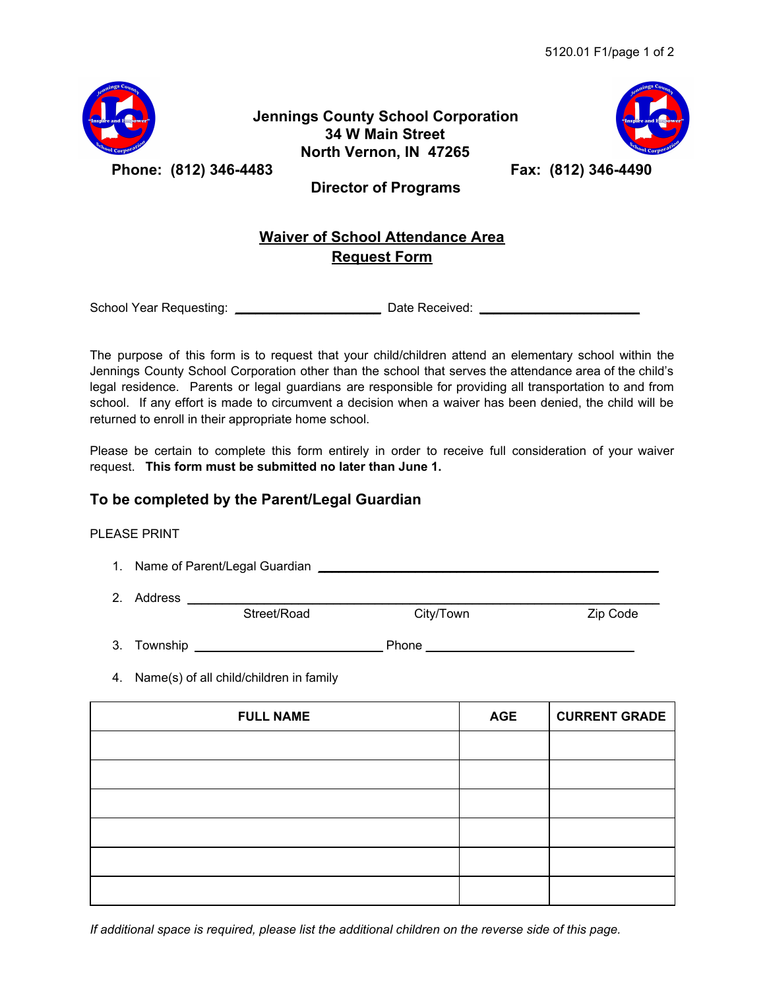

## **Jennings County School Corporation 34 W Main Street North Vernon, IN 47265**



**Phone: (812) 346-4483 Fax: (812) 346-4490**

 **Director of Programs**

## **Waiver of School Attendance Area Request Form**

School Year Requesting: \_\_\_\_\_\_\_\_\_\_\_\_\_\_\_\_\_\_\_\_\_ Date Received: \_\_\_\_\_\_\_\_\_\_\_\_\_\_\_\_\_\_\_\_\_\_\_

The purpose of this form is to request that your child/children attend an elementary school within the Jennings County School Corporation other than the school that serves the attendance area of the child's legal residence. Parents or legal guardians are responsible for providing all transportation to and from school. If any effort is made to circumvent a decision when a waiver has been denied, the child will be returned to enroll in their appropriate home school.

Please be certain to complete this form entirely in order to receive full consideration of your waiver request. **This form must be submitted no later than June 1.**

## **To be completed by the Parent/Legal Guardian**

## PLEASE PRINT

- 1. Name of Parent/Legal Guardian **Example 20** Security 1. Name of Parent/Legal Guardian
- 

2. Address \_\_\_\_\_\_\_\_\_\_\_\_\_\_\_\_\_\_\_\_\_\_\_\_\_\_\_\_\_\_\_\_\_\_\_\_\_\_\_\_\_\_\_\_\_\_\_\_\_\_\_\_\_\_\_\_\_\_\_\_\_\_\_\_\_\_\_\_ Street/Road City/Town Zip Code

3. Township \_\_\_\_\_\_\_\_\_\_\_\_\_\_\_\_\_\_\_\_\_\_\_\_\_\_\_ Phone \_\_\_\_\_\_\_\_\_\_\_\_\_\_\_\_\_\_\_\_\_\_\_\_\_\_\_\_\_\_

4. Name(s) of all child/children in family

| <b>FULL NAME</b> | <b>AGE</b> | <b>CURRENT GRADE</b> |
|------------------|------------|----------------------|
|                  |            |                      |
|                  |            |                      |
|                  |            |                      |
|                  |            |                      |
|                  |            |                      |
|                  |            |                      |

*If additional space is required, please list the additional children on the reverse side of this page.*